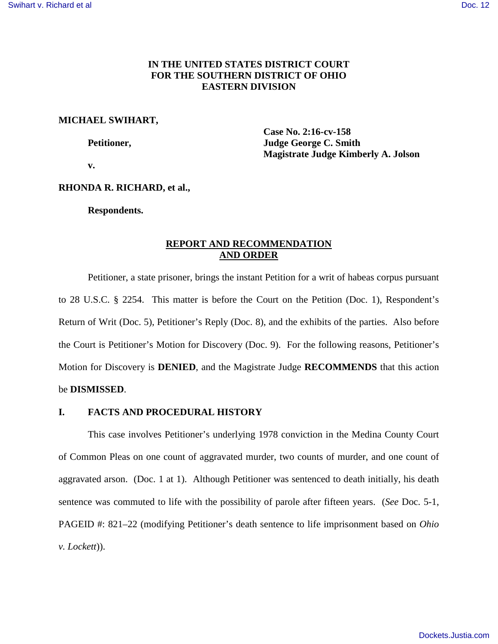# **IN THE UNITED STATES DISTRICT COURT FOR THE SOUTHERN DISTRICT OF OHIO EASTERN DIVISION**

## **MICHAEL SWIHART,**

 **Case No. 2:16-cv-158 Petitioner, Judge George C. Smith Magistrate Judge Kimberly A. Jolson** 

 **v.** 

## **RHONDA R. RICHARD, et al.,**

**Respondents.** 

# **REPORT AND RECOMMENDATION AND ORDER**

Petitioner, a state prisoner, brings the instant Petition for a writ of habeas corpus pursuant to 28 U.S.C. § 2254. This matter is before the Court on the Petition (Doc. 1), Respondent's Return of Writ (Doc. 5), Petitioner's Reply (Doc. 8), and the exhibits of the parties. Also before the Court is Petitioner's Motion for Discovery (Doc. 9). For the following reasons, Petitioner's Motion for Discovery is **DENIED**, and the Magistrate Judge **RECOMMENDS** that this action be **DISMISSED**.

## **I. FACTS AND PROCEDURAL HISTORY**

This case involves Petitioner's underlying 1978 conviction in the Medina County Court of Common Pleas on one count of aggravated murder, two counts of murder, and one count of aggravated arson. (Doc. 1 at 1). Although Petitioner was sentenced to death initially, his death sentence was commuted to life with the possibility of parole after fifteen years. (*See* Doc. 5-1, PAGEID #: 821–22 (modifying Petitioner's death sentence to life imprisonment based on *Ohio v. Lockett*)).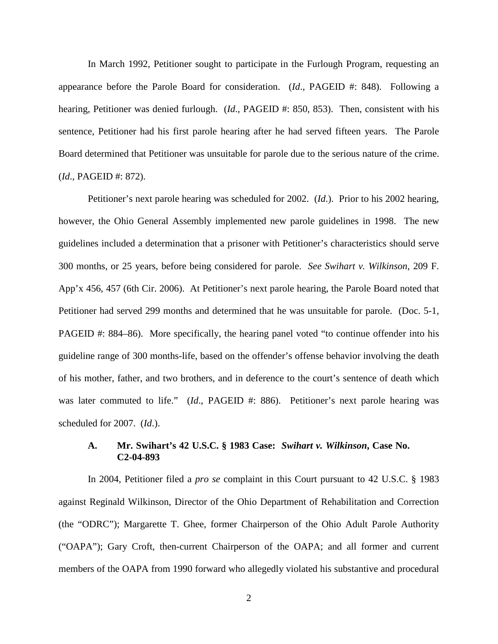In March 1992, Petitioner sought to participate in the Furlough Program, requesting an appearance before the Parole Board for consideration. (*Id*., PAGEID #: 848). Following a hearing, Petitioner was denied furlough. (*Id.*, PAGEID #: 850, 853). Then, consistent with his sentence, Petitioner had his first parole hearing after he had served fifteen years. The Parole Board determined that Petitioner was unsuitable for parole due to the serious nature of the crime. (*Id*., PAGEID #: 872).

Petitioner's next parole hearing was scheduled for 2002. (*Id*.). Prior to his 2002 hearing, however, the Ohio General Assembly implemented new parole guidelines in 1998. The new guidelines included a determination that a prisoner with Petitioner's characteristics should serve 300 months, or 25 years, before being considered for parole. *See Swihart v. Wilkinson*, 209 F. App'x 456, 457 (6th Cir. 2006). At Petitioner's next parole hearing, the Parole Board noted that Petitioner had served 299 months and determined that he was unsuitable for parole. (Doc. 5-1, PAGEID #: 884–86). More specifically, the hearing panel voted "to continue offender into his guideline range of 300 months-life, based on the offender's offense behavior involving the death of his mother, father, and two brothers, and in deference to the court's sentence of death which was later commuted to life." (*Id.*, PAGEID #: 886). Petitioner's next parole hearing was scheduled for 2007. (*Id*.).

# **A. Mr. Swihart's 42 U.S.C. § 1983 Case:** *Swihart v. Wilkinson***, Case No. C2-04-893**

In 2004, Petitioner filed a *pro se* complaint in this Court pursuant to 42 U.S.C. § 1983 against Reginald Wilkinson, Director of the Ohio Department of Rehabilitation and Correction (the "ODRC"); Margarette T. Ghee, former Chairperson of the Ohio Adult Parole Authority ("OAPA"); Gary Croft, then-current Chairperson of the OAPA; and all former and current members of the OAPA from 1990 forward who allegedly violated his substantive and procedural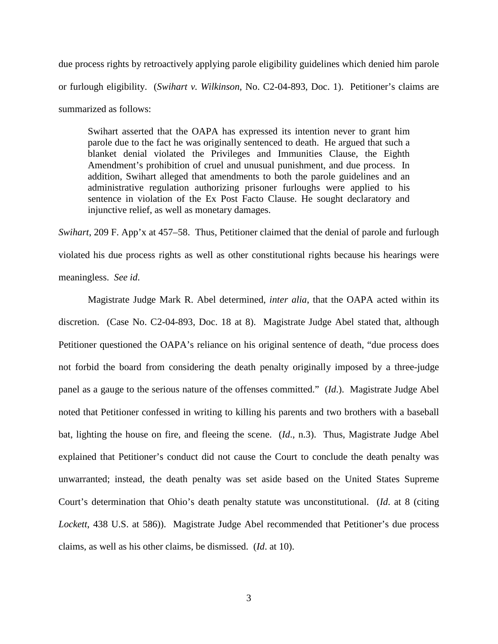due process rights by retroactively applying parole eligibility guidelines which denied him parole or furlough eligibility. (*Swihart v. Wilkinson*, No. C2-04-893, Doc. 1). Petitioner's claims are summarized as follows:

Swihart asserted that the OAPA has expressed its intention never to grant him parole due to the fact he was originally sentenced to death. He argued that such a blanket denial violated the Privileges and Immunities Clause, the Eighth Amendment's prohibition of cruel and unusual punishment, and due process. In addition, Swihart alleged that amendments to both the parole guidelines and an administrative regulation authorizing prisoner furloughs were applied to his sentence in violation of the Ex Post Facto Clause. He sought declaratory and injunctive relief, as well as monetary damages.

*Swihart*, 209 F. App'x at 457–58. Thus, Petitioner claimed that the denial of parole and furlough violated his due process rights as well as other constitutional rights because his hearings were meaningless. *See id*.

 Magistrate Judge Mark R. Abel determined, *inter alia*, that the OAPA acted within its discretion. (Case No. C2-04-893, Doc. 18 at 8). Magistrate Judge Abel stated that, although Petitioner questioned the OAPA's reliance on his original sentence of death, "due process does not forbid the board from considering the death penalty originally imposed by a three-judge panel as a gauge to the serious nature of the offenses committed." (*Id*.). Magistrate Judge Abel noted that Petitioner confessed in writing to killing his parents and two brothers with a baseball bat, lighting the house on fire, and fleeing the scene. (*Id*., n.3). Thus, Magistrate Judge Abel explained that Petitioner's conduct did not cause the Court to conclude the death penalty was unwarranted; instead, the death penalty was set aside based on the United States Supreme Court's determination that Ohio's death penalty statute was unconstitutional. (*Id*. at 8 (citing *Lockett*, 438 U.S. at 586)). Magistrate Judge Abel recommended that Petitioner's due process claims, as well as his other claims, be dismissed. (*Id*. at 10).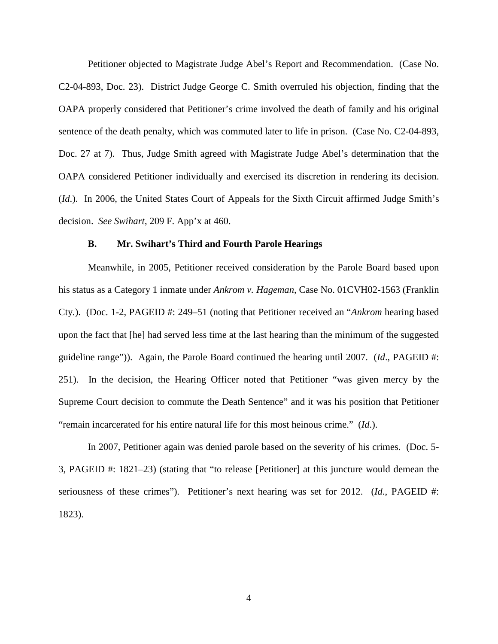Petitioner objected to Magistrate Judge Abel's Report and Recommendation. (Case No. C2-04-893, Doc. 23). District Judge George C. Smith overruled his objection, finding that the OAPA properly considered that Petitioner's crime involved the death of family and his original sentence of the death penalty, which was commuted later to life in prison. (Case No. C2-04-893, Doc. 27 at 7). Thus, Judge Smith agreed with Magistrate Judge Abel's determination that the OAPA considered Petitioner individually and exercised its discretion in rendering its decision. (*Id*.). In 2006, the United States Court of Appeals for the Sixth Circuit affirmed Judge Smith's decision. *See Swihart*, 209 F. App'x at 460.

## **B. Mr. Swihart's Third and Fourth Parole Hearings**

Meanwhile, in 2005, Petitioner received consideration by the Parole Board based upon his status as a Category 1 inmate under *Ankrom v. Hageman*, Case No. 01CVH02-1563 (Franklin Cty.). (Doc. 1-2, PAGEID #: 249–51 (noting that Petitioner received an "*Ankrom* hearing based upon the fact that [he] had served less time at the last hearing than the minimum of the suggested guideline range")). Again, the Parole Board continued the hearing until 2007. (*Id*., PAGEID #: 251). In the decision, the Hearing Officer noted that Petitioner "was given mercy by the Supreme Court decision to commute the Death Sentence" and it was his position that Petitioner "remain incarcerated for his entire natural life for this most heinous crime." (*Id*.).

In 2007, Petitioner again was denied parole based on the severity of his crimes. (Doc. 5- 3, PAGEID #: 1821–23) (stating that "to release [Petitioner] at this juncture would demean the seriousness of these crimes"). Petitioner's next hearing was set for 2012. (*Id*., PAGEID #: 1823).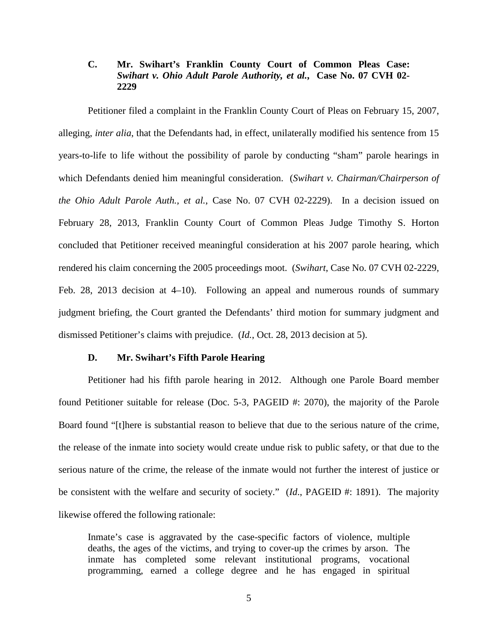# **C. Mr. Swihart's Franklin County Court of Common Pleas Case:**  *Swihart v. Ohio Adult Parole Authority, et al.***, Case No. 07 CVH 02- 2229**

Petitioner filed a complaint in the Franklin County Court of Pleas on February 15, 2007, alleging, *inter alia*, that the Defendants had, in effect, unilaterally modified his sentence from 15 years-to-life to life without the possibility of parole by conducting "sham" parole hearings in which Defendants denied him meaningful consideration. (*Swihart v. Chairman/Chairperson of the Ohio Adult Parole Auth., et al.*, Case No. 07 CVH 02-2229). In a decision issued on February 28, 2013, Franklin County Court of Common Pleas Judge Timothy S. Horton concluded that Petitioner received meaningful consideration at his 2007 parole hearing, which rendered his claim concerning the 2005 proceedings moot. (*Swihart*, Case No. 07 CVH 02-2229, Feb. 28, 2013 decision at 4–10). Following an appeal and numerous rounds of summary judgment briefing, the Court granted the Defendants' third motion for summary judgment and dismissed Petitioner's claims with prejudice. (*Id.*, Oct. 28, 2013 decision at 5).

# **D. Mr. Swihart's Fifth Parole Hearing**

Petitioner had his fifth parole hearing in 2012. Although one Parole Board member found Petitioner suitable for release (Doc. 5-3, PAGEID #: 2070), the majority of the Parole Board found "[t]here is substantial reason to believe that due to the serious nature of the crime, the release of the inmate into society would create undue risk to public safety, or that due to the serious nature of the crime, the release of the inmate would not further the interest of justice or be consistent with the welfare and security of society." (*Id*., PAGEID #: 1891). The majority likewise offered the following rationale:

Inmate's case is aggravated by the case-specific factors of violence, multiple deaths, the ages of the victims, and trying to cover-up the crimes by arson. The inmate has completed some relevant institutional programs, vocational programming, earned a college degree and he has engaged in spiritual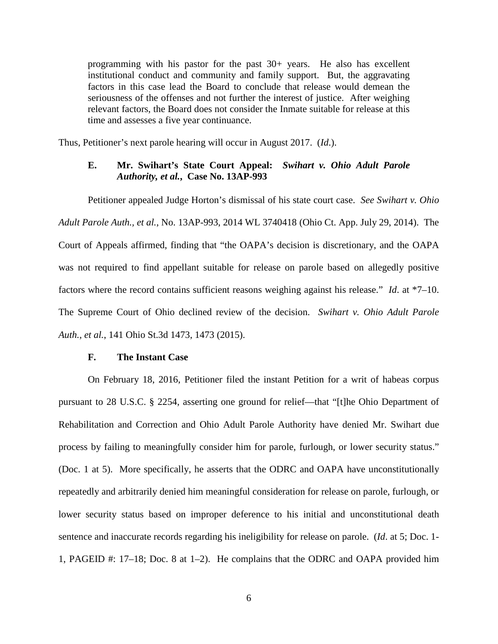programming with his pastor for the past 30+ years. He also has excellent institutional conduct and community and family support. But, the aggravating factors in this case lead the Board to conclude that release would demean the seriousness of the offenses and not further the interest of justice. After weighing relevant factors, the Board does not consider the Inmate suitable for release at this time and assesses a five year continuance.

Thus, Petitioner's next parole hearing will occur in August 2017. (*Id*.).

# **E. Mr. Swihart's State Court Appeal:** *Swihart v. Ohio Adult Parole Authority, et al.***, Case No. 13AP-993**

Petitioner appealed Judge Horton's dismissal of his state court case. *See Swihart v. Ohio Adult Parole Auth., et al.*, No. 13AP-993, 2014 WL 3740418 (Ohio Ct. App. July 29, 2014). The Court of Appeals affirmed, finding that "the OAPA's decision is discretionary, and the OAPA was not required to find appellant suitable for release on parole based on allegedly positive factors where the record contains sufficient reasons weighing against his release." *Id*. at \*7–10. The Supreme Court of Ohio declined review of the decision. *Swihart v. Ohio Adult Parole Auth., et al.*, 141 Ohio St.3d 1473, 1473 (2015).

## **F. The Instant Case**

On February 18, 2016, Petitioner filed the instant Petition for a writ of habeas corpus pursuant to 28 U.S.C. § 2254, asserting one ground for relief—that "[t]he Ohio Department of Rehabilitation and Correction and Ohio Adult Parole Authority have denied Mr. Swihart due process by failing to meaningfully consider him for parole, furlough, or lower security status." (Doc. 1 at 5). More specifically, he asserts that the ODRC and OAPA have unconstitutionally repeatedly and arbitrarily denied him meaningful consideration for release on parole, furlough, or lower security status based on improper deference to his initial and unconstitutional death sentence and inaccurate records regarding his ineligibility for release on parole. (*Id*. at 5; Doc. 1- 1, PAGEID #: 17–18; Doc. 8 at 1–2). He complains that the ODRC and OAPA provided him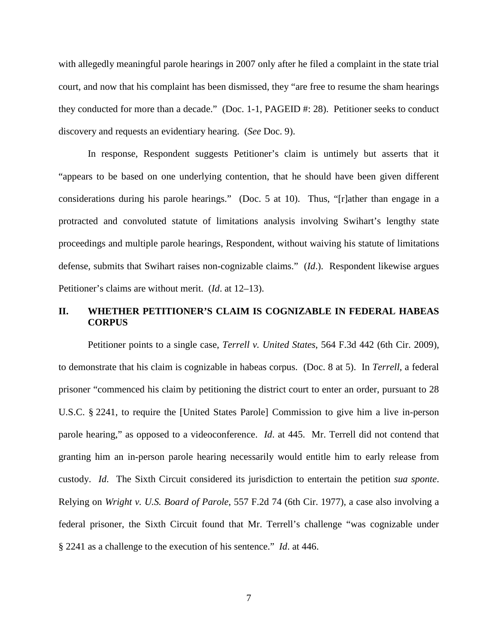with allegedly meaningful parole hearings in 2007 only after he filed a complaint in the state trial court, and now that his complaint has been dismissed, they "are free to resume the sham hearings they conducted for more than a decade." (Doc. 1-1, PAGEID #: 28). Petitioner seeks to conduct discovery and requests an evidentiary hearing. (*See* Doc. 9).

In response, Respondent suggests Petitioner's claim is untimely but asserts that it "appears to be based on one underlying contention, that he should have been given different considerations during his parole hearings." (Doc. 5 at 10). Thus, "[r]ather than engage in a protracted and convoluted statute of limitations analysis involving Swihart's lengthy state proceedings and multiple parole hearings, Respondent, without waiving his statute of limitations defense, submits that Swihart raises non-cognizable claims." (*Id*.). Respondent likewise argues Petitioner's claims are without merit. (*Id*. at 12–13).

# **II. WHETHER PETITIONER'S CLAIM IS COGNIZABLE IN FEDERAL HABEAS CORPUS**

Petitioner points to a single case, *Terrell v. United States*, 564 F.3d 442 (6th Cir. 2009), to demonstrate that his claim is cognizable in habeas corpus. (Doc. 8 at 5). In *Terrell*, a federal prisoner "commenced his claim by petitioning the district court to enter an order, pursuant to 28 U.S.C. § 2241, to require the [United States Parole] Commission to give him a live in-person parole hearing," as opposed to a videoconference. *Id*. at 445. Mr. Terrell did not contend that granting him an in-person parole hearing necessarily would entitle him to early release from custody. *Id*. The Sixth Circuit considered its jurisdiction to entertain the petition *sua sponte*. Relying on *Wright v. U.S. Board of Parole*, 557 F.2d 74 (6th Cir. 1977), a case also involving a federal prisoner, the Sixth Circuit found that Mr. Terrell's challenge "was cognizable under § 2241 as a challenge to the execution of his sentence." *Id*. at 446.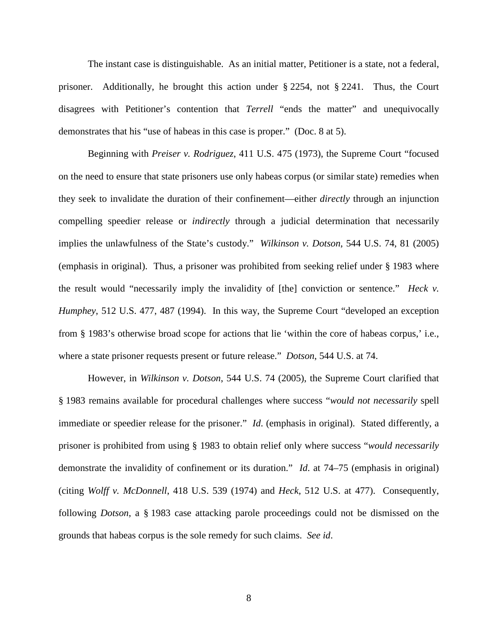The instant case is distinguishable. As an initial matter, Petitioner is a state, not a federal, prisoner. Additionally, he brought this action under § 2254, not § 2241. Thus, the Court disagrees with Petitioner's contention that *Terrell* "ends the matter" and unequivocally demonstrates that his "use of habeas in this case is proper." (Doc. 8 at 5).

Beginning with *Preiser v. Rodriguez*, 411 U.S. 475 (1973), the Supreme Court "focused on the need to ensure that state prisoners use only habeas corpus (or similar state) remedies when they seek to invalidate the duration of their confinement—either *directly* through an injunction compelling speedier release or *indirectly* through a judicial determination that necessarily implies the unlawfulness of the State's custody." *Wilkinson v. Dotson*, 544 U.S. 74, 81 (2005) (emphasis in original). Thus, a prisoner was prohibited from seeking relief under § 1983 where the result would "necessarily imply the invalidity of [the] conviction or sentence." *Heck v. Humphey*, 512 U.S. 477, 487 (1994). In this way, the Supreme Court "developed an exception from [§ 1983'](https://1.next.westlaw.com/Link/Document/FullText?findType=L&pubNum=1000546&cite=42USCAS1983&originatingDoc=Ib5a035319a1011d9bdd1cfdd544ca3a4&refType=LQ&originationContext=document&transitionType=DocumentItem&contextData=(sc.UserEnteredCitation))s otherwise broad scope for actions that lie 'within the core of habeas corpus,' i.e., where a state prisoner requests present or future release." *Dotson*, 544 U.S. at 74.

However, in *Wilkinson v. Dotson*, 544 U.S. 74 (2005), the Supreme Court clarified that § 1983 remains available for procedural challenges where success "*would not necessarily* spell immediate or speedier release for the prisoner." *Id*. (emphasis in original). Stated differently, a prisoner is prohibited from using [§ 1983](https://1.next.westlaw.com/Link/Document/FullText?findType=L&pubNum=1000546&cite=42USCAS1983&originatingDoc=Ib5a035319a1011d9bdd1cfdd544ca3a4&refType=LQ&originationContext=document&transitionType=DocumentItem&contextData=(sc.UserEnteredCitation)) to obtain relief only where success "*would necessarily* demonstrate the invalidity of confinement or its duration." *Id*. at 74–75 (emphasis in original) (citing *[Wolff v. McDonnell](https://1.next.westlaw.com/Link/Document/FullText?findType=Y&serNum=1974127248&pubNum=708&originatingDoc=Ib5a035319a1011d9bdd1cfdd544ca3a4&refType=RP&originationContext=document&transitionType=DocumentItem&contextData=(sc.UserEnteredCitation))*, 418 U.S. 539 (1974) and *Heck*, 512 U.S. at 477). Consequently, following *Dotson*, a § 1983 case attacking parole proceedings could not be dismissed on the grounds that habeas corpus is the sole remedy for such claims. *See id*.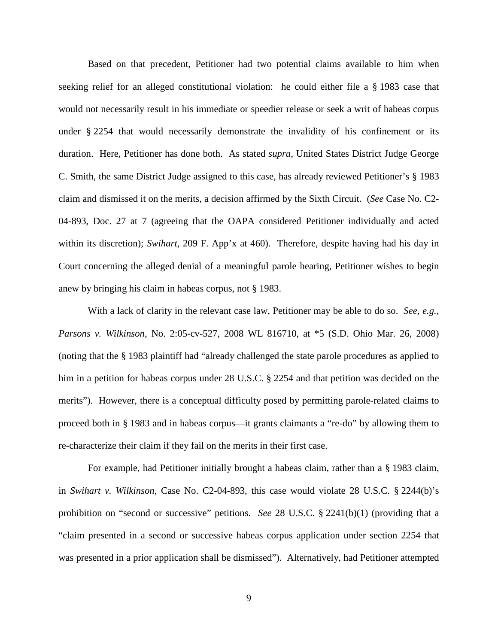Based on that precedent, Petitioner had two potential claims available to him when seeking relief for an alleged constitutional violation: he could either file a § 1983 case that would not necessarily result in his immediate or speedier release or seek a writ of habeas corpus under § 2254 that would necessarily demonstrate the invalidity of his confinement or its duration. Here, Petitioner has done both. As stated *supra*, United States District Judge George C. Smith, the same District Judge assigned to this case, has already reviewed Petitioner's § 1983 claim and dismissed it on the merits, a decision affirmed by the Sixth Circuit. (*See* Case No. C2- 04-893, Doc. 27 at 7 (agreeing that the OAPA considered Petitioner individually and acted within its discretion); *Swihart*, 209 F. App'x at 460). Therefore, despite having had his day in Court concerning the alleged denial of a meaningful parole hearing, Petitioner wishes to begin anew by bringing his claim in habeas corpus, not § 1983.

With a lack of clarity in the relevant case law, Petitioner may be able to do so. *See, e.g.*, *Parsons v. Wilkinson*, No. 2:05-cv-527, 2008 WL 816710, at \*5 (S.D. Ohio Mar. 26, 2008) (noting that the § 1983 plaintiff had "already challenged the state parole procedures as applied to him in a petition for habeas corpus under 28 U.S.C. § 2254 and that petition was decided on the merits"). However, there is a conceptual difficulty posed by permitting parole-related claims to proceed both in § 1983 and in habeas corpus—it grants claimants a "re-do" by allowing them to re-characterize their claim if they fail on the merits in their first case.

For example, had Petitioner initially brought a habeas claim, rather than a § 1983 claim, in *Swihart v. Wilkinson*, Case No. C2-04-893, this case would violate 28 U.S.C. § 2244(b)'s prohibition on "second or successive" petitions. *See* 28 U.S.C. § 2241(b)(1) (providing that a "claim presented in a second or successive habeas corpus application under section 2254 that was presented in a prior application shall be dismissed"). Alternatively, had Petitioner attempted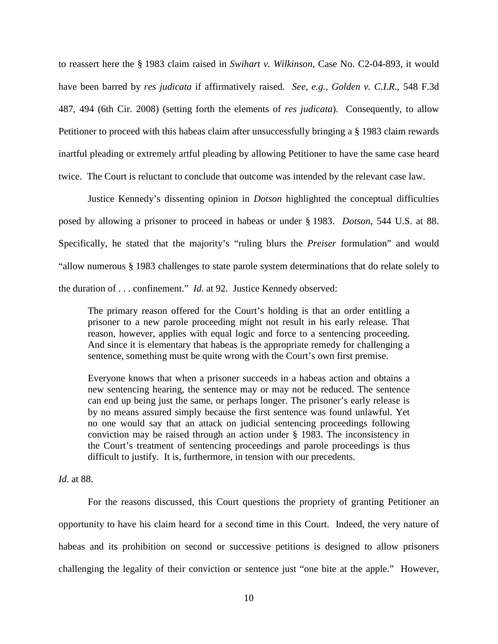to reassert here the § 1983 claim raised in *Swihart v. Wilkinson*, Case No. C2-04-893, it would have been barred by *res judicata* if affirmatively raised. *See, e.g.*, *Golden v. C.I.R.*, 548 F.3d 487, 494 (6th Cir. 2008) (setting forth the elements of *res judicata*). Consequently, to allow Petitioner to proceed with this habeas claim after unsuccessfully bringing a § 1983 claim rewards inartful pleading or extremely artful pleading by allowing Petitioner to have the same case heard twice. The Court is reluctant to conclude that outcome was intended by the relevant case law.

Justice Kennedy's dissenting opinion in *Dotson* highlighted the conceptual difficulties posed by allowing a prisoner to proceed in habeas or under § 1983. *Dotson*, 544 U.S. at 88. Specifically, he stated that the majority's "ruling blurs the *Preiser* formulation" and would "allow numerous § 1983 challenges to state parole system determinations that do relate solely to the duration of . . . confinement." *Id*. at 92. Justice Kennedy observed:

The primary reason offered for the Court's holding is that an order entitling a prisoner to a new parole proceeding might not result in his early release. That reason, however, applies with equal logic and force to a sentencing proceeding. And since it is elementary that habeas is the appropriate remedy for challenging a sentence, something must be quite wrong with the Court's own first premise.

Everyone knows that when a prisoner succeeds in a habeas action and obtains a new sentencing hearing, the sentence may or may not be reduced. The sentence can end up being just the same, or perhaps longer. The prisoner's early release is by no means assured simply because the first sentence was found unlawful. Yet no one would say that an attack on judicial sentencing proceedings following conviction may be raised through an action under [§ 1983.](https://1.next.westlaw.com/Link/Document/FullText?findType=L&pubNum=1000546&cite=42USCAS1983&originatingDoc=Ib5a035319a1011d9bdd1cfdd544ca3a4&refType=LQ&originationContext=document&transitionType=DocumentItem&contextData=(sc.UserEnteredCitation)) The inconsistency in the Court's treatment of sentencing proceedings and parole proceedings is thus difficult to justify. It is, furthermore, in tension with our precedents.

*Id*. at 88.

For the reasons discussed, this Court questions the propriety of granting Petitioner an opportunity to have his claim heard for a second time in this Court. Indeed, the very nature of habeas and its prohibition on second or successive petitions is designed to allow prisoners challenging the legality of their conviction or sentence just "one bite at the apple." However,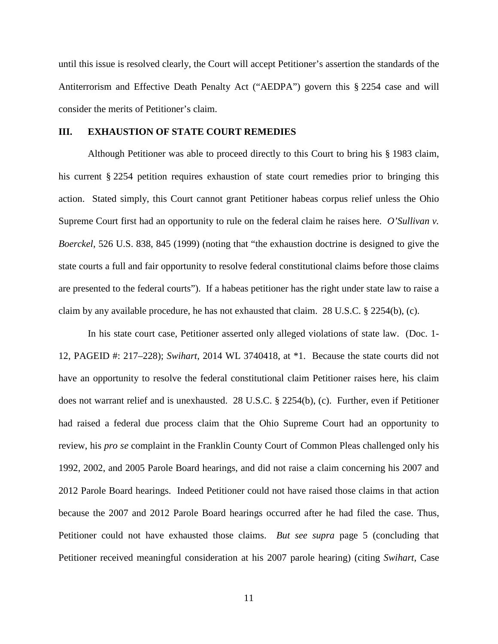until this issue is resolved clearly, the Court will accept Petitioner's assertion the standards of the Antiterrorism and Effective Death Penalty Act ("AEDPA") govern this § 2254 case and will consider the merits of Petitioner's claim.

## **III. EXHAUSTION OF STATE COURT REMEDIES**

Although Petitioner was able to proceed directly to this Court to bring his § 1983 claim, his current § 2254 petition requires exhaustion of state court remedies prior to bringing this action. Stated simply, this Court cannot grant Petitioner habeas corpus relief unless the Ohio Supreme Court first had an opportunity to rule on the federal claim he raises here. *O'Sullivan v. Boerckel*, 526 U.S. 838, 845 (1999) (noting that "the exhaustion doctrine is designed to give the state courts a full and fair opportunity to resolve federal constitutional claims before those claims are presented to the federal courts"). If a habeas petitioner has the right under state law to raise a claim by any available procedure, he has not exhausted that claim. 28 U.S.C. § 2254(b), (c).

In his state court case, Petitioner asserted only alleged violations of state law. (Doc. 1- 12, PAGEID #: 217–228); *Swihart*, 2014 WL 3740418, at \*1. Because the state courts did not have an opportunity to resolve the federal constitutional claim Petitioner raises here, his claim does not warrant relief and is unexhausted. 28 U.S.C. § 2254(b), (c). Further, even if Petitioner had raised a federal due process claim that the Ohio Supreme Court had an opportunity to review, his *pro se* complaint in the Franklin County Court of Common Pleas challenged only his 1992, 2002, and 2005 Parole Board hearings, and did not raise a claim concerning his 2007 and 2012 Parole Board hearings. Indeed Petitioner could not have raised those claims in that action because the 2007 and 2012 Parole Board hearings occurred after he had filed the case. Thus, Petitioner could not have exhausted those claims. *But see supra* page 5 (concluding that Petitioner received meaningful consideration at his 2007 parole hearing) (citing *Swihart*, Case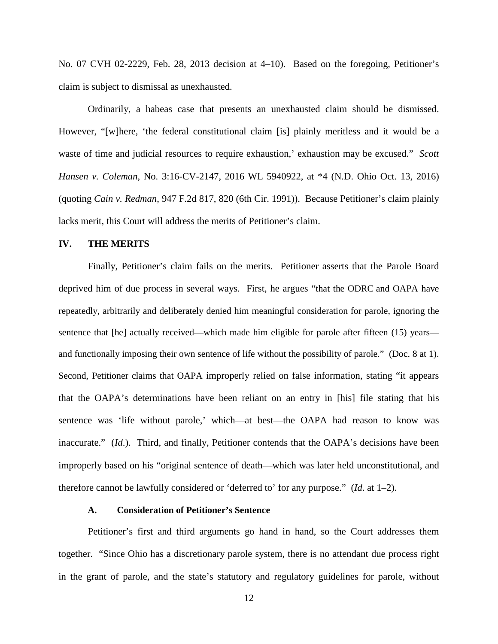No. 07 CVH 02-2229, Feb. 28, 2013 decision at 4–10). Based on the foregoing, Petitioner's claim is subject to dismissal as unexhausted.

Ordinarily, a habeas case that presents an unexhausted claim should be dismissed. However, "[w]here, 'the federal constitutional claim [is] plainly meritless and it would be a waste of time and judicial resources to require exhaustion,' exhaustion may be excused." *Scott Hansen v. Coleman*, No. 3:16-CV-2147, 2016 WL 5940922, at \*4 (N.D. Ohio Oct. 13, 2016) (quoting *Cain v. Redman*, 947 F.2d 817, 820 (6th Cir. 1991)). Because Petitioner's claim plainly lacks merit, this Court will address the merits of Petitioner's claim.

## **IV. THE MERITS**

Finally, Petitioner's claim fails on the merits. Petitioner asserts that the Parole Board deprived him of due process in several ways. First, he argues "that the ODRC and OAPA have repeatedly, arbitrarily and deliberately denied him meaningful consideration for parole, ignoring the sentence that [he] actually received—which made him eligible for parole after fifteen (15) years and functionally imposing their own sentence of life without the possibility of parole." (Doc. 8 at 1). Second, Petitioner claims that OAPA improperly relied on false information, stating "it appears that the OAPA's determinations have been reliant on an entry in [his] file stating that his sentence was 'life without parole,' which—at best—the OAPA had reason to know was inaccurate." (*Id*.). Third, and finally, Petitioner contends that the OAPA's decisions have been improperly based on his "original sentence of death—which was later held unconstitutional, and therefore cannot be lawfully considered or 'deferred to' for any purpose." (*Id*. at 1–2).

# **A. Consideration of Petitioner's Sentence**

Petitioner's first and third arguments go hand in hand, so the Court addresses them together. "Since Ohio has a discretionary parole system, there is no attendant due process right in the grant of parole, and the state's statutory and regulatory guidelines for parole, without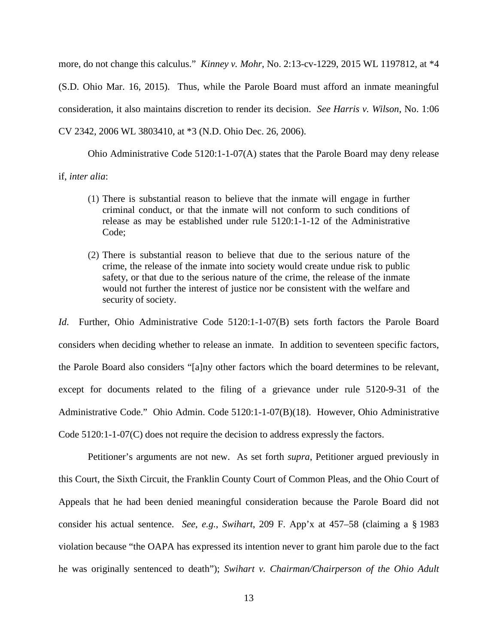more, do not change this calculus." *Kinney v. Mohr*, No. 2:13-cv-1229, 2015 WL 1197812, at \*4 (S.D. Ohio Mar. 16, 2015). Thus, while the Parole Board must afford an inmate meaningful consideration, it also maintains discretion to render its decision. *See Harris v. Wilson*, No. 1:06 CV 2342, 2006 WL 3803410, at \*3 (N.D. Ohio Dec. 26, 2006).

Ohio Administrative Code 5120:1-1-07(A) states that the Parole Board may deny release if, *inter alia*:

- (1) There is substantial reason to believe that the inmate will engage in further criminal conduct, or that the inmate will not conform to such conditions of release as may be established under rule 5120:1-1-12 of the Administrative Code;
- (2) There is substantial reason to believe that due to the serious nature of the crime, the release of the inmate into society would create undue risk to public safety, or that due to the serious nature of the crime, the release of the inmate would not further the interest of justice nor be consistent with the welfare and security of society.

*Id*. Further, Ohio Administrative Code 5120:1-1-07(B) sets forth factors the Parole Board considers when deciding whether to release an inmate. In addition to seventeen specific factors, the Parole Board also considers "[a]ny other factors which the board determines to be relevant, except for documents related to the filing of a grievance under rule 5120-9-31 of the Administrative Code." Ohio Admin. Code 5120:1-1-07(B)(18). However, Ohio Administrative Code 5120:1-1-07(C) does not require the decision to address expressly the factors.

Petitioner's arguments are not new. As set forth *supra*, Petitioner argued previously in this Court, the Sixth Circuit, the Franklin County Court of Common Pleas, and the Ohio Court of Appeals that he had been denied meaningful consideration because the Parole Board did not consider his actual sentence. *See, e.g.*, *Swihart*, 209 F. App'x at 457–58 (claiming a § 1983 violation because "the OAPA has expressed its intention never to grant him parole due to the fact he was originally sentenced to death"); *Swihart v. Chairman/Chairperson of the Ohio Adult*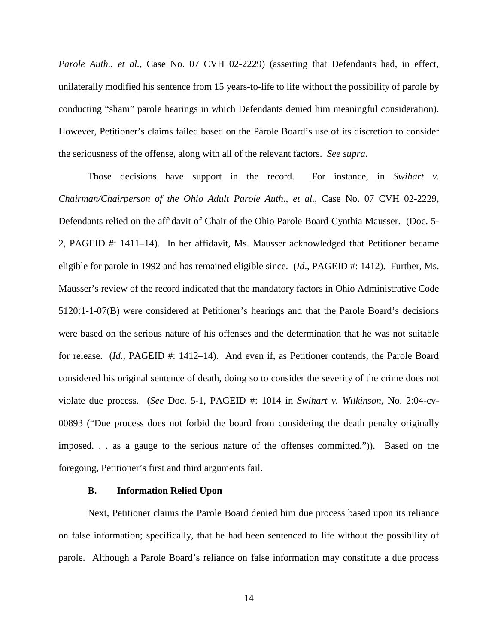*Parole Auth., et al.*, Case No. 07 CVH 02-2229) (asserting that Defendants had, in effect, unilaterally modified his sentence from 15 years-to-life to life without the possibility of parole by conducting "sham" parole hearings in which Defendants denied him meaningful consideration). However, Petitioner's claims failed based on the Parole Board's use of its discretion to consider the seriousness of the offense, along with all of the relevant factors. *See supra*.

Those decisions have support in the record. For instance, in *Swihart v. Chairman/Chairperson of the Ohio Adult Parole Auth., et al.*, Case No. 07 CVH 02-2229, Defendants relied on the affidavit of Chair of the Ohio Parole Board Cynthia Mausser. (Doc. 5- 2, PAGEID #: 1411–14). In her affidavit, Ms. Mausser acknowledged that Petitioner became eligible for parole in 1992 and has remained eligible since. (*Id*., PAGEID #: 1412). Further, Ms. Mausser's review of the record indicated that the mandatory factors in Ohio Administrative Code 5120:1-1-07(B) were considered at Petitioner's hearings and that the Parole Board's decisions were based on the serious nature of his offenses and the determination that he was not suitable for release. (*Id*., PAGEID #: 1412–14). And even if, as Petitioner contends, the Parole Board considered his original sentence of death, doing so to consider the severity of the crime does not violate due process. (*See* Doc. 5-1, PAGEID #: 1014 in *Swihart v. Wilkinson*, No. 2:04-cv-00893 ("Due process does not forbid the board from considering the death penalty originally imposed. . . as a gauge to the serious nature of the offenses committed.")). Based on the foregoing, Petitioner's first and third arguments fail.

#### **B. Information Relied Upon**

Next, Petitioner claims the Parole Board denied him due process based upon its reliance on false information; specifically, that he had been sentenced to life without the possibility of parole. Although a Parole Board's reliance on false information may constitute a due process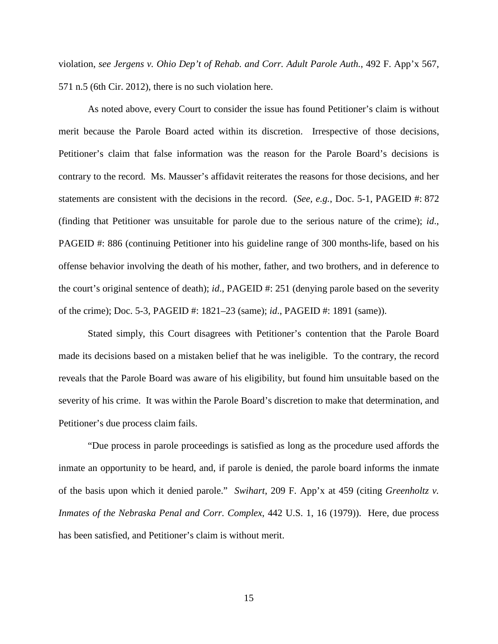violation, *see Jergens v. Ohio Dep't of Rehab. and Corr. Adult Parole Auth.*, 492 F. App'x 567, 571 n.5 (6th Cir. 2012), there is no such violation here.

As noted above, every Court to consider the issue has found Petitioner's claim is without merit because the Parole Board acted within its discretion. Irrespective of those decisions, Petitioner's claim that false information was the reason for the Parole Board's decisions is contrary to the record. Ms. Mausser's affidavit reiterates the reasons for those decisions, and her statements are consistent with the decisions in the record. (*See, e.g.*, Doc. 5-1, PAGEID #: 872 (finding that Petitioner was unsuitable for parole due to the serious nature of the crime); *id*., PAGEID #: 886 (continuing Petitioner into his guideline range of 300 months-life, based on his offense behavior involving the death of his mother, father, and two brothers, and in deference to the court's original sentence of death); *id*., PAGEID #: 251 (denying parole based on the severity of the crime); Doc. 5-3, PAGEID #: 1821–23 (same); *id*., PAGEID #: 1891 (same)).

Stated simply, this Court disagrees with Petitioner's contention that the Parole Board made its decisions based on a mistaken belief that he was ineligible. To the contrary, the record reveals that the Parole Board was aware of his eligibility, but found him unsuitable based on the severity of his crime. It was within the Parole Board's discretion to make that determination, and Petitioner's due process claim fails.

"Due process in parole proceedings is satisfied as long as the procedure used affords the inmate an opportunity to be heard, and, if parole is denied, the parole board informs the inmate of the basis upon which it denied parole." *Swihart*, 209 F. App'x at 459 (citing *Greenholtz v. Inmates of the Nebraska Penal and Corr. Complex*, 442 U.S. 1, 16 (1979)). Here, due process has been satisfied, and Petitioner's claim is without merit.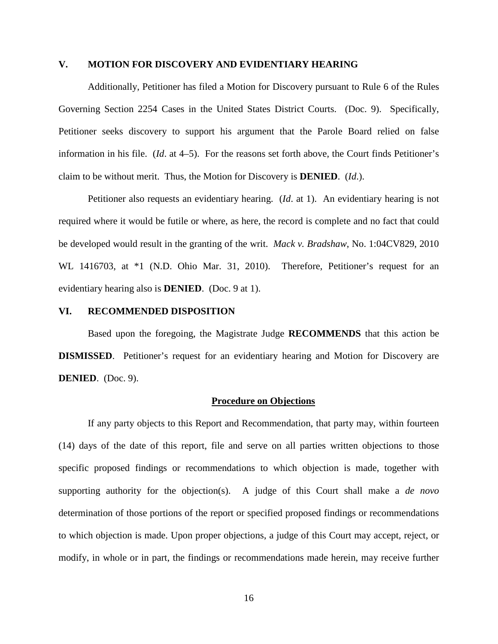## **V. MOTION FOR DISCOVERY AND EVIDENTIARY HEARING**

Additionally, Petitioner has filed a Motion for Discovery pursuant to Rule 6 of the Rules Governing Section 2254 Cases in the United States District Courts. (Doc. 9). Specifically, Petitioner seeks discovery to support his argument that the Parole Board relied on false information in his file. (*Id*. at 4–5). For the reasons set forth above, the Court finds Petitioner's claim to be without merit. Thus, the Motion for Discovery is **DENIED**. (*Id*.).

Petitioner also requests an evidentiary hearing. (*Id*. at 1). An evidentiary hearing is not required where it would be futile or where, as here, the record is complete and no fact that could be developed would result in the granting of the writ. *Mack v. Bradshaw*, No. 1:04CV829, 2010 WL 1416703, at \*1 (N.D. Ohio Mar. 31, 2010). Therefore, Petitioner's request for an evidentiary hearing also is **DENIED**. (Doc. 9 at 1).

## **VI. RECOMMENDED DISPOSITION**

Based upon the foregoing, the Magistrate Judge **RECOMMENDS** that this action be **DISMISSED.** Petitioner's request for an evidentiary hearing and Motion for Discovery are **DENIED**. (Doc. 9).

#### **Procedure on Objections**

If any party objects to this Report and Recommendation, that party may, within fourteen (14) days of the date of this report, file and serve on all parties written objections to those specific proposed findings or recommendations to which objection is made, together with supporting authority for the objection(s). A judge of this Court shall make a *de novo* determination of those portions of the report or specified proposed findings or recommendations to which objection is made. Upon proper objections, a judge of this Court may accept, reject, or modify, in whole or in part, the findings or recommendations made herein, may receive further